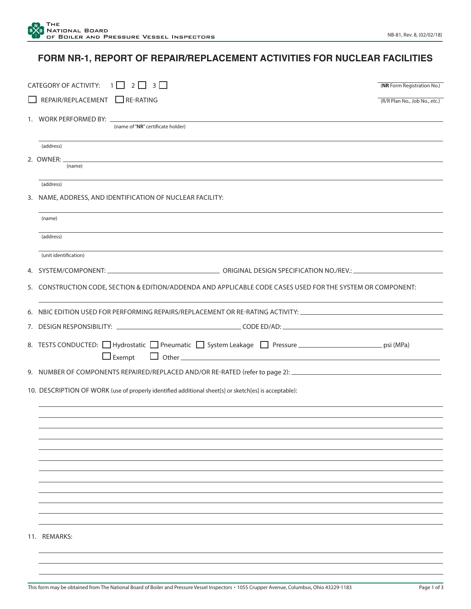## **FORM NR-1, REPORT OF REPAIR/REPLACEMENT ACTIVITIES FOR NUCLEAR FACILITIES**

|    | <b>CATEGORY OF ACTIVITY:</b><br>$\overline{2}$<br>$\overline{\phantom{a}}$<br>3 I I<br>1 I                                                                                                                                                                                                                                                                                                                                                                                                                                                       | (NR Form Registration No.)    |
|----|--------------------------------------------------------------------------------------------------------------------------------------------------------------------------------------------------------------------------------------------------------------------------------------------------------------------------------------------------------------------------------------------------------------------------------------------------------------------------------------------------------------------------------------------------|-------------------------------|
|    | REPAIR/REPLACEMENT RE-RATING                                                                                                                                                                                                                                                                                                                                                                                                                                                                                                                     | (R/R Plan No., Job No., etc.) |
|    | 1. WORK PERFORMED BY: __                                                                                                                                                                                                                                                                                                                                                                                                                                                                                                                         |                               |
|    | (name of "NR" certificate holder)                                                                                                                                                                                                                                                                                                                                                                                                                                                                                                                |                               |
|    | (address)                                                                                                                                                                                                                                                                                                                                                                                                                                                                                                                                        |                               |
|    | 2. OWNER: _<br>(name)                                                                                                                                                                                                                                                                                                                                                                                                                                                                                                                            |                               |
|    |                                                                                                                                                                                                                                                                                                                                                                                                                                                                                                                                                  |                               |
|    | (address)                                                                                                                                                                                                                                                                                                                                                                                                                                                                                                                                        |                               |
| 3. | NAME, ADDRESS, AND IDENTIFICATION OF NUCLEAR FACILITY:                                                                                                                                                                                                                                                                                                                                                                                                                                                                                           |                               |
|    | (name)                                                                                                                                                                                                                                                                                                                                                                                                                                                                                                                                           |                               |
|    | (address)                                                                                                                                                                                                                                                                                                                                                                                                                                                                                                                                        |                               |
|    | (unit identification)                                                                                                                                                                                                                                                                                                                                                                                                                                                                                                                            |                               |
|    | 4. SYSTEM/COMPONENT: COMPONENTIAL CONTRACT DESIGN SPECIFICATION NO./REV.: COMPONENTIAL DESIGN SPECIFICATION NO                                                                                                                                                                                                                                                                                                                                                                                                                                   |                               |
|    | 5. CONSTRUCTION CODE, SECTION & EDITION/ADDENDA AND APPLICABLE CODE CASES USED FOR THE SYSTEM OR COMPONENT:                                                                                                                                                                                                                                                                                                                                                                                                                                      |                               |
|    | 6. NBIC EDITION USED FOR PERFORMING REPAIRS/REPLACEMENT OR RE-RATING ACTIVITY: UNIVERSITY ON A SERVICE OF A ST                                                                                                                                                                                                                                                                                                                                                                                                                                   |                               |
|    |                                                                                                                                                                                                                                                                                                                                                                                                                                                                                                                                                  |                               |
|    | $\begin{tabular}{ c c c c } \hline \quad \quad \quad & \quad \quad \quad & \quad \quad \quad & \quad \quad \quad \\ \hline \quad \quad \quad & \quad \quad & \quad \quad & \quad \quad \\ \hline \quad \quad & \quad \quad & \quad \quad & \quad \quad \\ \hline \end{tabular} \quad \begin{tabular}{ c c c c c } \hline \quad \quad & \quad \quad & \quad \quad & \quad \quad \\ \hline \quad \quad & \quad \quad & \quad \quad & \quad \quad \\ \hline \end{tabular} \quad \begin{tabular}{ c c c c c c c c c c c c c c c c $<br>$\Box$ Exempt |                               |
|    | 9. NUMBER OF COMPONENTS REPAIRED/REPLACED AND/OR RE-RATED (refer to page 2): _________________________________                                                                                                                                                                                                                                                                                                                                                                                                                                   |                               |
|    | 10. DESCRIPTION OF WORK (use of properly identified additional sheet[s] or sketch[es] is acceptable):                                                                                                                                                                                                                                                                                                                                                                                                                                            |                               |
|    |                                                                                                                                                                                                                                                                                                                                                                                                                                                                                                                                                  |                               |
|    |                                                                                                                                                                                                                                                                                                                                                                                                                                                                                                                                                  |                               |
|    |                                                                                                                                                                                                                                                                                                                                                                                                                                                                                                                                                  |                               |
|    |                                                                                                                                                                                                                                                                                                                                                                                                                                                                                                                                                  |                               |
|    |                                                                                                                                                                                                                                                                                                                                                                                                                                                                                                                                                  |                               |
|    |                                                                                                                                                                                                                                                                                                                                                                                                                                                                                                                                                  |                               |
|    |                                                                                                                                                                                                                                                                                                                                                                                                                                                                                                                                                  |                               |
|    |                                                                                                                                                                                                                                                                                                                                                                                                                                                                                                                                                  |                               |
|    |                                                                                                                                                                                                                                                                                                                                                                                                                                                                                                                                                  |                               |
|    | 11. REMARKS:                                                                                                                                                                                                                                                                                                                                                                                                                                                                                                                                     |                               |
|    |                                                                                                                                                                                                                                                                                                                                                                                                                                                                                                                                                  |                               |
|    |                                                                                                                                                                                                                                                                                                                                                                                                                                                                                                                                                  |                               |
|    |                                                                                                                                                                                                                                                                                                                                                                                                                                                                                                                                                  |                               |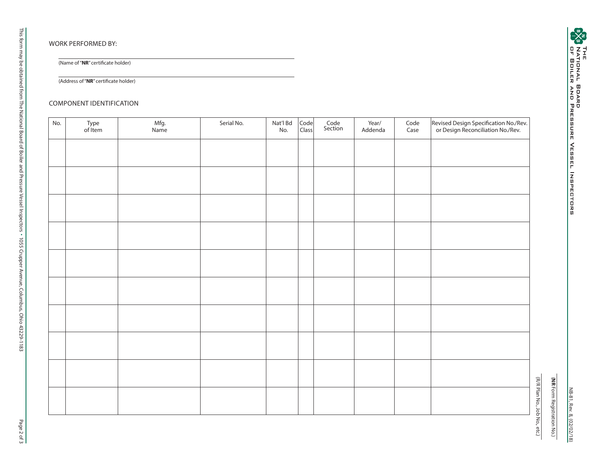## WORK PERFORMED BY:

(Name of "**NR**" certificate holder)

(Address of "**NR**" certificate holder)

## COMPONENT IDENTIFICATION

| No. | Type<br>of Item | Mfg.<br>Name | Serial No. | Nat'l Bd<br>No. | Code<br>Class | Code<br>Section | Year/<br>Addenda | Code<br>Case | Revised Design Specification No./Rev.<br>or Design Reconciliation No./Rev. |
|-----|-----------------|--------------|------------|-----------------|---------------|-----------------|------------------|--------------|----------------------------------------------------------------------------|
|     |                 |              |            |                 |               |                 |                  |              |                                                                            |
|     |                 |              |            |                 |               |                 |                  |              |                                                                            |
|     |                 |              |            |                 |               |                 |                  |              |                                                                            |
|     |                 |              |            |                 |               |                 |                  |              |                                                                            |
|     |                 |              |            |                 |               |                 |                  |              |                                                                            |
|     |                 |              |            |                 |               |                 |                  |              |                                                                            |
|     |                 |              |            |                 |               |                 |                  |              |                                                                            |
|     |                 |              |            |                 |               |                 |                  |              |                                                                            |
|     |                 |              |            |                 |               |                 |                  |              |                                                                            |
|     |                 |              |            |                 |               |                 |                  |              |                                                                            |
|     |                 |              |            |                 |               |                 |                  |              |                                                                            |
|     |                 |              |            |                 |               |                 |                  |              |                                                                            |
|     |                 |              |            |                 |               |                 |                  |              |                                                                            |
|     |                 |              |            |                 |               |                 |                  |              |                                                                            |
|     |                 |              |            |                 |               |                 |                  |              |                                                                            |
|     |                 |              |            |                 |               |                 |                  |              |                                                                            |

NB-81, Rev. 8, (0 2 /02/1 8 )

This form may be obtained from The National Board of Boiler and Pressure Vessel Inspectors

This form may be obtained from The National Board of Boiler and Pressure Vessel Inspectors • 1055 Crupper Avenue, Columbus, Ohio 43229-1183